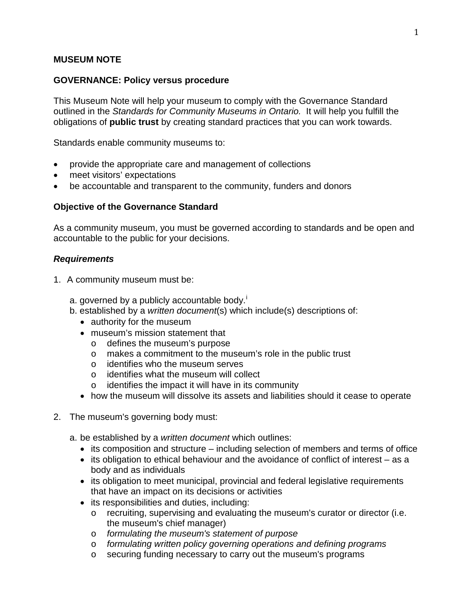#### **MUSEUM NOTE**

#### **GOVERNANCE: Policy versus procedure**

This Museum Note will help your museum to comply with the Governance Standard outlined in the *Standards for Community Museums in Ontario.* It will help you fulfill the obligations of **public trust** by creating standard practices that you can work towards.

Standards enable community museums to:

- provide the appropriate care and management of collections
- meet visitors' expectations
- be accountable and transparent to the community, funders and donors

#### **Objective of the Governance Standard**

As a community museum, you must be governed according to standards and be open and accountable to the public for your decisions.

#### *Requirements*

- 1. A community museum must be:
	- a. governed by a publ[i](#page-4-0)cly accountable body. $\overline{I}$
	- b. established by a *written document*(s) which include(s) descriptions of:
		- authority for the museum
		- museum's mission statement that
			- $\circ$  defines the museum's purpose<br> $\circ$  makes a commitment to the mu
			- makes a commitment to the museum's role in the public trust
			- o identifies who the museum serves
			- o identifies what the museum will collect
			- o identifies the impact it will have in its community
		- how the museum will dissolve its assets and liabilities should it cease to operate
- 2. The museum's governing body must:
	- a. be established by a *written document* which outlines:
		- its composition and structure including selection of members and terms of office
		- its obligation to ethical behaviour and the avoidance of conflict of interest as a body and as individuals
		- its obligation to meet municipal, provincial and federal legislative requirements that have an impact on its decisions or activities
		- its responsibilities and duties, including:
			- o recruiting, supervising and evaluating the museum's curator or director (i.e. the museum's chief manager)
			- o *formulating the museum's statement of purpose*
			- o *formulating written policy governing operations and defining programs*
			- o securing funding necessary to carry out the museum's programs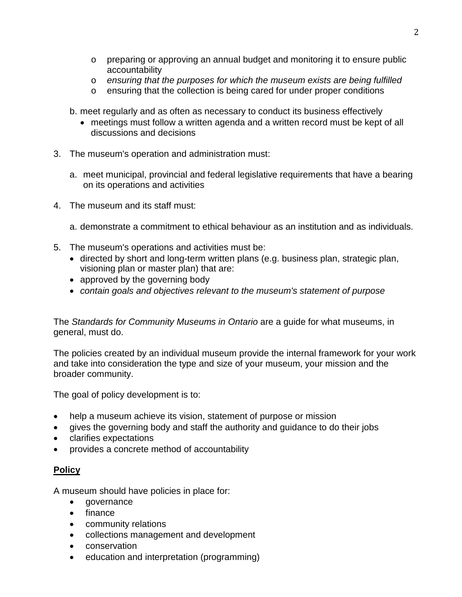- o preparing or approving an annual budget and monitoring it to ensure public accountability
- o *ensuring that the purposes for which the museum exists are being fulfilled*
- o ensuring that the collection is being cared for under proper conditions

b. meet regularly and as often as necessary to conduct its business effectively

- meetings must follow a written agenda and a written record must be kept of all discussions and decisions
- 3. The museum's operation and administration must:
	- a. meet municipal, provincial and federal legislative requirements that have a bearing on its operations and activities
- 4. The museum and its staff must:
	- a. demonstrate a commitment to ethical behaviour as an institution and as individuals.
- 5. The museum's operations and activities must be:
	- directed by short and long-term written plans (e.g. business plan, strategic plan, visioning plan or master plan) that are:
	- approved by the governing body
	- *contain goals and objectives relevant to the museum's statement of purpose*

The *Standards for Community Museums in Ontario* are a guide for what museums, in general, must do.

The policies created by an individual museum provide the internal framework for your work and take into consideration the type and size of your museum, your mission and the broader community.

The goal of policy development is to:

- help a museum achieve its vision, statement of purpose or mission
- gives the governing body and staff the authority and guidance to do their jobs
- clarifies expectations
- provides a concrete method of accountability

# **Policy**

A museum should have policies in place for:

- governance
- finance
- community relations
- collections management and development
- conservation
- education and interpretation (programming)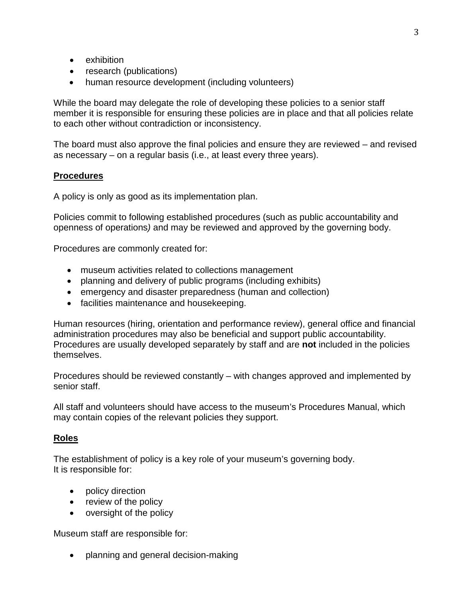- exhibition
- research (publications)
- human resource development (including volunteers)

While the board may delegate the role of developing these policies to a senior staff member it is responsible for ensuring these policies are in place and that all policies relate to each other without contradiction or inconsistency.

The board must also approve the final policies and ensure they are reviewed – and revised as necessary – on a regular basis (i.e., at least every three years).

## **Procedures**

A policy is only as good as its implementation plan.

Policies commit to following established procedures (such as public accountability and openness of operations*)* and may be reviewed and approved by the governing body.

Procedures are commonly created for:

- museum activities related to collections management
- planning and delivery of public programs (including exhibits)
- emergency and disaster preparedness (human and collection)
- facilities maintenance and housekeeping.

Human resources (hiring, orientation and performance review), general office and financial administration procedures may also be beneficial and support public accountability. Procedures are usually developed separately by staff and are **not** included in the policies themselves.

Procedures should be reviewed constantly – with changes approved and implemented by senior staff.

All staff and volunteers should have access to the museum's Procedures Manual, which may contain copies of the relevant policies they support.

## **Roles**

The establishment of policy is a key role of your museum's governing body. It is responsible for:

- policy direction
- review of the policy
- oversight of the policy

Museum staff are responsible for:

• planning and general decision-making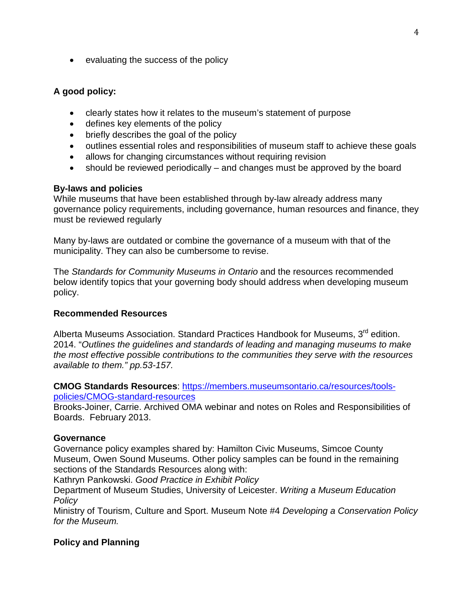• evaluating the success of the policy

## **A good policy:**

- clearly states how it relates to the museum's statement of purpose
- defines key elements of the policy
- briefly describes the goal of the policy
- outlines essential roles and responsibilities of museum staff to achieve these goals
- allows for changing circumstances without requiring revision
- should be reviewed periodically and changes must be approved by the board

## **By-laws and policies**

While museums that have been established through by-law already address many governance policy requirements, including governance, human resources and finance, they must be reviewed regularly

Many by-laws are outdated or combine the governance of a museum with that of the municipality. They can also be cumbersome to revise.

The *Standards for Community Museums in Ontario* and the resources recommended below identify topics that your governing body should address when developing museum policy.

## **Recommended Resources**

Alberta Museums Association. Standard Practices Handbook for Museums, 3<sup>rd</sup> edition. 2014. "*Outlines the guidelines and standards of leading and managing museums to make the most effective possible contributions to the communities they serve with the resources available to them." pp.53-157.*

**CMOG Standards Resources**: [https://members.museumsontario.ca/resources/tools](https://members.museumsontario.ca/resources/tools-policies/CMOG-standard-resources)[policies/CMOG-standard-resources](https://members.museumsontario.ca/resources/tools-policies/CMOG-standard-resources)

Brooks-Joiner, Carrie. Archived OMA webinar and notes on Roles and Responsibilities of Boards. February 2013.

## **Governance**

Governance policy examples shared by: Hamilton Civic Museums, Simcoe County Museum, Owen Sound Museums. Other policy samples can be found in the remaining sections of the Standards Resources along with:

Kathryn Pankowski. *Good Practice in Exhibit Policy*

Department of Museum Studies, University of Leicester. *Writing a Museum Education Policy*

Ministry of Tourism, Culture and Sport. Museum Note #4 *Developing a Conservation Policy for the Museum.*

## **Policy and Planning**